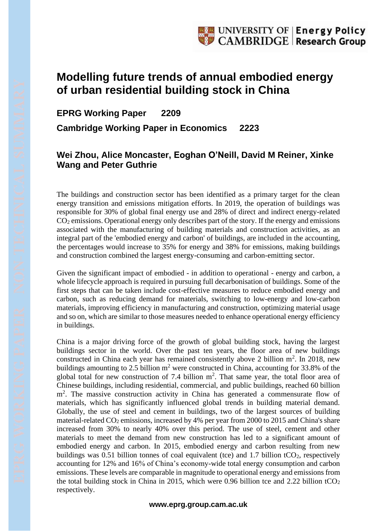## **Modelling future trends of annual embodied energy of urban residential building stock in China**

## **EPRG Working Paper 2209 Cambridge Working Paper in Economics 2223**

## **Wei Zhou, Alice Moncaster, Eoghan O'Neill, David M Reiner, Xinke Wang and Peter Guthrie**

The buildings and construction sector has been identified as a primary target for the clean energy transition and emissions mitigation efforts. In 2019, the operation of buildings was responsible for 30% of global final energy use and 28% of direct and indirect energy-related  $CO<sub>2</sub>$  emissions. Operational energy only describes part of the story. If the energy and emissions associated with the manufacturing of building materials and construction activities, as an integral part of the 'embodied energy and carbon' of buildings, are included in the accounting, the percentages would increase to 35% for energy and 38% for emissions, making buildings and construction combined the largest energy-consuming and carbon-emitting sector.

Given the significant impact of embodied - in addition to operational - energy and carbon, a whole lifecycle approach is required in pursuing full decarbonisation of buildings. Some of the first steps that can be taken include cost-effective measures to reduce embodied energy and carbon, such as reducing demand for materials, switching to low-energy and low-carbon materials, improving efficiency in manufacturing and construction, optimizing material usage and so on, which are similar to those measures needed to enhance operational energy efficiency in buildings.

China is a major driving force of the growth of global building stock, having the largest buildings sector in the world. Over the past ten years, the floor area of new buildings constructed in China each year has remained consistently above 2 billion  $m^2$ . In 2018, new buildings amounting to 2.5 billion  $m^2$  were constructed in China, accounting for 33.8% of the global total for new construction of 7.4 billion  $m^2$ . That same year, the total floor area of Chinese buildings, including residential, commercial, and public buildings, reached 60 billion m<sup>2</sup>. The massive construction activity in China has generated a commensurate flow of materials, which has significantly influenced global trends in building material demand. Globally, the use of steel and cement in buildings, two of the largest sources of building material-related  $CO<sub>2</sub>$  emissions, increased by 4% per year from 2000 to 2015 and China's share increased from 30% to nearly 40% over this period. The use of steel, cement and other materials to meet the demand from new construction has led to a significant amount of embodied energy and carbon. In 2015, embodied energy and carbon resulting from new buildings was 0.51 billion tonnes of coal equivalent (tce) and 1.7 billion  $tCO_2$ , respectively accounting for 12% and 16% of China's economy-wide total energy consumption and carbon emissions. These levels are comparable in magnitude to operational energy and emissions from the total building stock in China in 2015, which were 0.96 billion tce and 2.22 billion tCO<sub>2</sub> respectively.

## **www.eprg.group.cam.ac.uk**